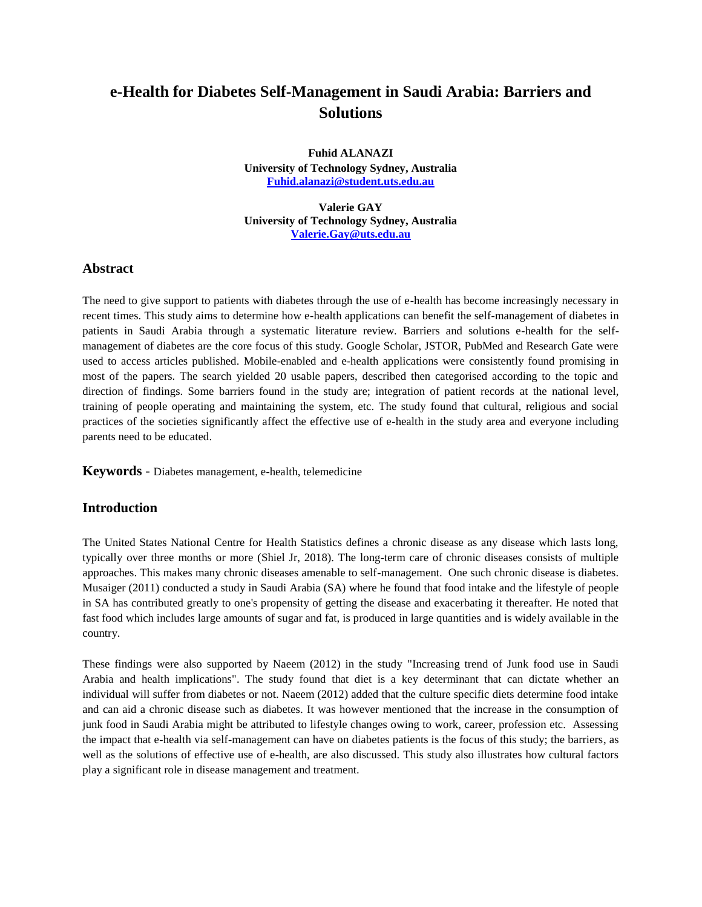# **e-Health for Diabetes Self-Management in Saudi Arabia: Barriers and Solutions**

**Fuhid ALANAZI University of Technology Sydney, Australia [Fuhid.alanazi@student.uts.edu.au](mailto:Fuhid.alanazi@student.uts.edu.au)**

**Valerie GAY University of Technology Sydney, Australia [Valerie.Gay@uts.edu.au](mailto:Valerie.Gay@uts.edu.au)**

### **Abstract**

The need to give support to patients with diabetes through the use of e-health has become increasingly necessary in recent times. This study aims to determine how e-health applications can benefit the self-management of diabetes in patients in Saudi Arabia through a systematic literature review. Barriers and solutions e-health for the selfmanagement of diabetes are the core focus of this study. Google Scholar, JSTOR, PubMed and Research Gate were used to access articles published. Mobile-enabled and e-health applications were consistently found promising in most of the papers. The search yielded 20 usable papers, described then categorised according to the topic and direction of findings. Some barriers found in the study are; integration of patient records at the national level, training of people operating and maintaining the system, etc. The study found that cultural, religious and social practices of the societies significantly affect the effective use of e-health in the study area and everyone including parents need to be educated.

**Keywords** - Diabetes management, e-health, telemedicine

### **Introduction**

The United States National Centre for Health Statistics defines a chronic disease as any disease which lasts long, typically over three months or more (Shiel Jr, 2018). The long-term care of chronic diseases consists of multiple approaches. This makes many chronic diseases amenable to self-management. One such chronic disease is diabetes. Musaiger (2011) conducted a study in Saudi Arabia (SA) where he found that food intake and the lifestyle of people in SA has contributed greatly to one's propensity of getting the disease and exacerbating it thereafter. He noted that fast food which includes large amounts of sugar and fat, is produced in large quantities and is widely available in the country.

These findings were also supported by Naeem (2012) in the study "Increasing trend of Junk food use in Saudi Arabia and health implications". The study found that diet is a key determinant that can dictate whether an individual will suffer from diabetes or not. Naeem (2012) added that the culture specific diets determine food intake and can aid a chronic disease such as diabetes. It was however mentioned that the increase in the consumption of junk food in Saudi Arabia might be attributed to lifestyle changes owing to work, career, profession etc. Assessing the impact that e-health via self-management can have on diabetes patients is the focus of this study; the barriers, as well as the solutions of effective use of e-health, are also discussed. This study also illustrates how cultural factors play a significant role in disease management and treatment.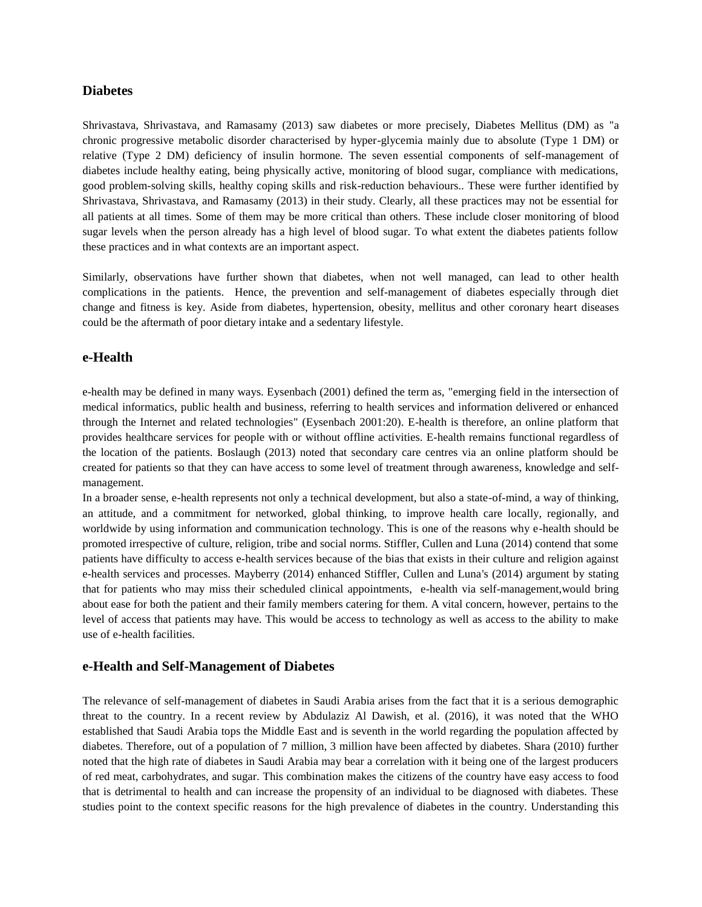### **Diabetes**

Shrivastava, Shrivastava, and Ramasamy (2013) saw diabetes or more precisely, Diabetes Mellitus (DM) as "a chronic progressive metabolic disorder characterised by hyper-glycemia mainly due to absolute (Type 1 DM) or relative (Type 2 DM) deficiency of insulin hormone. The seven essential components of self-management of diabetes include healthy eating, being physically active, monitoring of blood sugar, compliance with medications, good problem-solving skills, healthy coping skills and risk-reduction behaviours.. These were further identified by Shrivastava, Shrivastava, and Ramasamy (2013) in their study. Clearly, all these practices may not be essential for all patients at all times. Some of them may be more critical than others. These include closer monitoring of blood sugar levels when the person already has a high level of blood sugar. To what extent the diabetes patients follow these practices and in what contexts are an important aspect.

Similarly, observations have further shown that diabetes, when not well managed, can lead to other health complications in the patients. Hence, the prevention and self-management of diabetes especially through diet change and fitness is key. Aside from diabetes, hypertension, obesity, mellitus and other coronary heart diseases could be the aftermath of poor dietary intake and a sedentary lifestyle.

# **e-Health**

e-health may be defined in many ways. Eysenbach (2001) defined the term as, "emerging field in the intersection of medical informatics, public health and business, referring to health services and information delivered or enhanced through the Internet and related technologies" (Eysenbach 2001:20). E-health is therefore, an online platform that provides healthcare services for people with or without offline activities. E-health remains functional regardless of the location of the patients. Boslaugh (2013) noted that secondary care centres via an online platform should be created for patients so that they can have access to some level of treatment through awareness, knowledge and selfmanagement.

In a broader sense, e-health represents not only a technical development, but also a state-of-mind, a way of thinking, an attitude, and a commitment for networked, global thinking, to improve health care locally, regionally, and worldwide by using information and communication technology. This is one of the reasons why e-health should be promoted irrespective of culture, religion, tribe and social norms. Stiffler, Cullen and Luna (2014) contend that some patients have difficulty to access e-health services because of the bias that exists in their culture and religion against e-health services and processes. Mayberry (2014) enhanced Stiffler, Cullen and Luna's (2014) argument by stating that for patients who may miss their scheduled clinical appointments, e-health via self-management,would bring about ease for both the patient and their family members catering for them. A vital concern, however, pertains to the level of access that patients may have. This would be access to technology as well as access to the ability to make use of e-health facilities.

### **e-Health and Self-Management of Diabetes**

The relevance of self-management of diabetes in Saudi Arabia arises from the fact that it is a serious demographic threat to the country. In a recent review by Abdulaziz Al Dawish, et al. (2016), it was noted that the WHO established that Saudi Arabia tops the Middle East and is seventh in the world regarding the population affected by diabetes. Therefore, out of a population of 7 million, 3 million have been affected by diabetes. Shara (2010) further noted that the high rate of diabetes in Saudi Arabia may bear a correlation with it being one of the largest producers of red meat, carbohydrates, and sugar. This combination makes the citizens of the country have easy access to food that is detrimental to health and can increase the propensity of an individual to be diagnosed with diabetes. These studies point to the context specific reasons for the high prevalence of diabetes in the country. Understanding this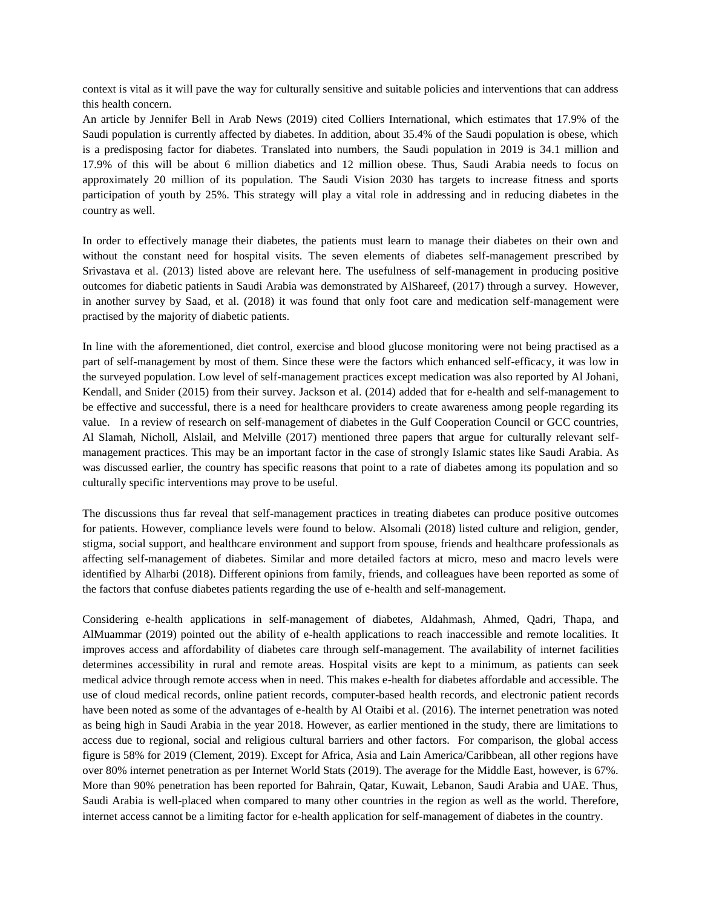context is vital as it will pave the way for culturally sensitive and suitable policies and interventions that can address this health concern.

An article by Jennifer Bell in Arab News (2019) cited Colliers International, which estimates that 17.9% of the Saudi population is currently affected by diabetes. In addition, about 35.4% of the Saudi population is obese, which is a predisposing factor for diabetes. Translated into numbers, the Saudi population in 2019 is 34.1 million and 17.9% of this will be about 6 million diabetics and 12 million obese. Thus, Saudi Arabia needs to focus on approximately 20 million of its population. The Saudi Vision 2030 has targets to increase fitness and sports participation of youth by 25%. This strategy will play a vital role in addressing and in reducing diabetes in the country as well.

In order to effectively manage their diabetes, the patients must learn to manage their diabetes on their own and without the constant need for hospital visits. The seven elements of diabetes self-management prescribed by Srivastava et al. (2013) listed above are relevant here. The usefulness of self-management in producing positive outcomes for diabetic patients in Saudi Arabia was demonstrated by AlShareef, (2017) through a survey. However, in another survey by Saad, et al. (2018) it was found that only foot care and medication self-management were practised by the majority of diabetic patients.

In line with the aforementioned, diet control, exercise and blood glucose monitoring were not being practised as a part of self-management by most of them. Since these were the factors which enhanced self-efficacy, it was low in the surveyed population. Low level of self-management practices except medication was also reported by Al Johani, Kendall, and Snider (2015) from their survey. Jackson et al. (2014) added that for e-health and self-management to be effective and successful, there is a need for healthcare providers to create awareness among people regarding its value. In a review of research on self-management of diabetes in the Gulf Cooperation Council or GCC countries, Al Slamah, Nicholl, Alslail, and Melville (2017) mentioned three papers that argue for culturally relevant selfmanagement practices. This may be an important factor in the case of strongly Islamic states like Saudi Arabia. As was discussed earlier, the country has specific reasons that point to a rate of diabetes among its population and so culturally specific interventions may prove to be useful.

The discussions thus far reveal that self-management practices in treating diabetes can produce positive outcomes for patients. However, compliance levels were found to below. Alsomali (2018) listed culture and religion, gender, stigma, social support, and healthcare environment and support from spouse, friends and healthcare professionals as affecting self-management of diabetes. Similar and more detailed factors at micro, meso and macro levels were identified by Alharbi (2018). Different opinions from family, friends, and colleagues have been reported as some of the factors that confuse diabetes patients regarding the use of e-health and self-management.

Considering e-health applications in self-management of diabetes, Aldahmash, Ahmed, Qadri, Thapa, and AlMuammar (2019) pointed out the ability of e-health applications to reach inaccessible and remote localities. It improves access and affordability of diabetes care through self-management. The availability of internet facilities determines accessibility in rural and remote areas. Hospital visits are kept to a minimum, as patients can seek medical advice through remote access when in need. This makes e-health for diabetes affordable and accessible. The use of cloud medical records, online patient records, computer-based health records, and electronic patient records have been noted as some of the advantages of e-health by Al Otaibi et al. (2016). The internet penetration was noted as being high in Saudi Arabia in the year 2018. However, as earlier mentioned in the study, there are limitations to access due to regional, social and religious cultural barriers and other factors. For comparison, the global access figure is 58% for 2019 (Clement, 2019). Except for Africa, Asia and Lain America/Caribbean, all other regions have over 80% internet penetration as per Internet World Stats (2019). The average for the Middle East, however, is 67%. More than 90% penetration has been reported for Bahrain, Qatar, Kuwait, Lebanon, Saudi Arabia and UAE. Thus, Saudi Arabia is well-placed when compared to many other countries in the region as well as the world. Therefore, internet access cannot be a limiting factor for e-health application for self-management of diabetes in the country.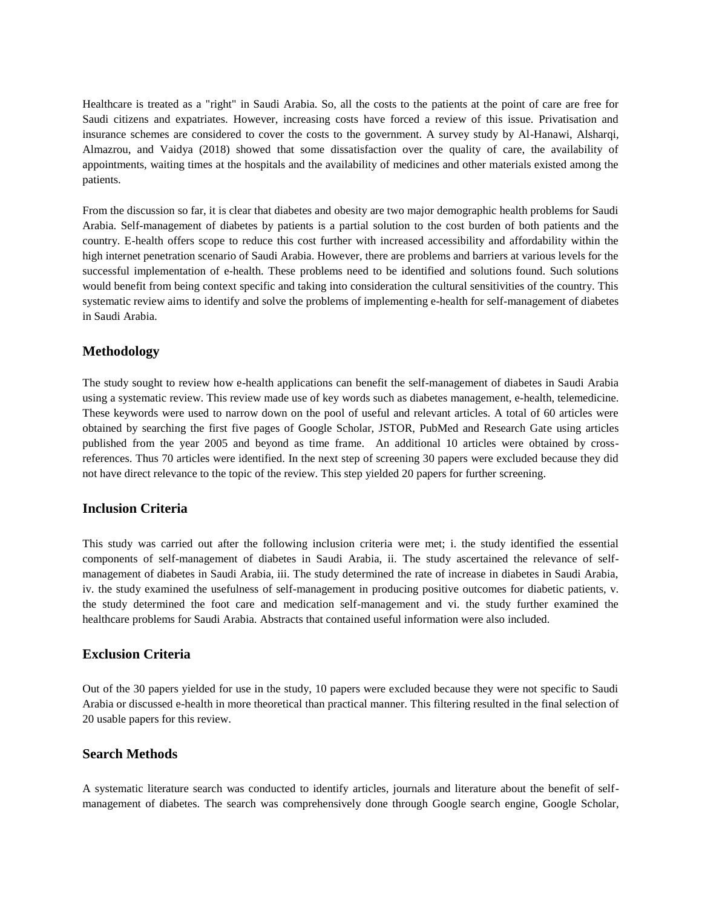Healthcare is treated as a "right" in Saudi Arabia. So, all the costs to the patients at the point of care are free for Saudi citizens and expatriates. However, increasing costs have forced a review of this issue. Privatisation and insurance schemes are considered to cover the costs to the government. A survey study by Al-Hanawi, Alsharqi, Almazrou, and Vaidya (2018) showed that some dissatisfaction over the quality of care, the availability of appointments, waiting times at the hospitals and the availability of medicines and other materials existed among the patients.

From the discussion so far, it is clear that diabetes and obesity are two major demographic health problems for Saudi Arabia. Self-management of diabetes by patients is a partial solution to the cost burden of both patients and the country. E-health offers scope to reduce this cost further with increased accessibility and affordability within the high internet penetration scenario of Saudi Arabia. However, there are problems and barriers at various levels for the successful implementation of e-health. These problems need to be identified and solutions found. Such solutions would benefit from being context specific and taking into consideration the cultural sensitivities of the country. This systematic review aims to identify and solve the problems of implementing e-health for self-management of diabetes in Saudi Arabia.

# **Methodology**

The study sought to review how e-health applications can benefit the self-management of diabetes in Saudi Arabia using a systematic review. This review made use of key words such as diabetes management, e-health, telemedicine. These keywords were used to narrow down on the pool of useful and relevant articles. A total of 60 articles were obtained by searching the first five pages of Google Scholar, JSTOR, PubMed and Research Gate using articles published from the year 2005 and beyond as time frame. An additional 10 articles were obtained by crossreferences. Thus 70 articles were identified. In the next step of screening 30 papers were excluded because they did not have direct relevance to the topic of the review. This step yielded 20 papers for further screening.

# **Inclusion Criteria**

This study was carried out after the following inclusion criteria were met; i. the study identified the essential components of self-management of diabetes in Saudi Arabia, ii. The study ascertained the relevance of selfmanagement of diabetes in Saudi Arabia, iii. The study determined the rate of increase in diabetes in Saudi Arabia, iv. the study examined the usefulness of self-management in producing positive outcomes for diabetic patients, v. the study determined the foot care and medication self-management and vi. the study further examined the healthcare problems for Saudi Arabia. Abstracts that contained useful information were also included.

# **Exclusion Criteria**

Out of the 30 papers yielded for use in the study, 10 papers were excluded because they were not specific to Saudi Arabia or discussed e-health in more theoretical than practical manner. This filtering resulted in the final selection of 20 usable papers for this review.

## **Search Methods**

A systematic literature search was conducted to identify articles, journals and literature about the benefit of selfmanagement of diabetes. The search was comprehensively done through Google search engine, Google Scholar,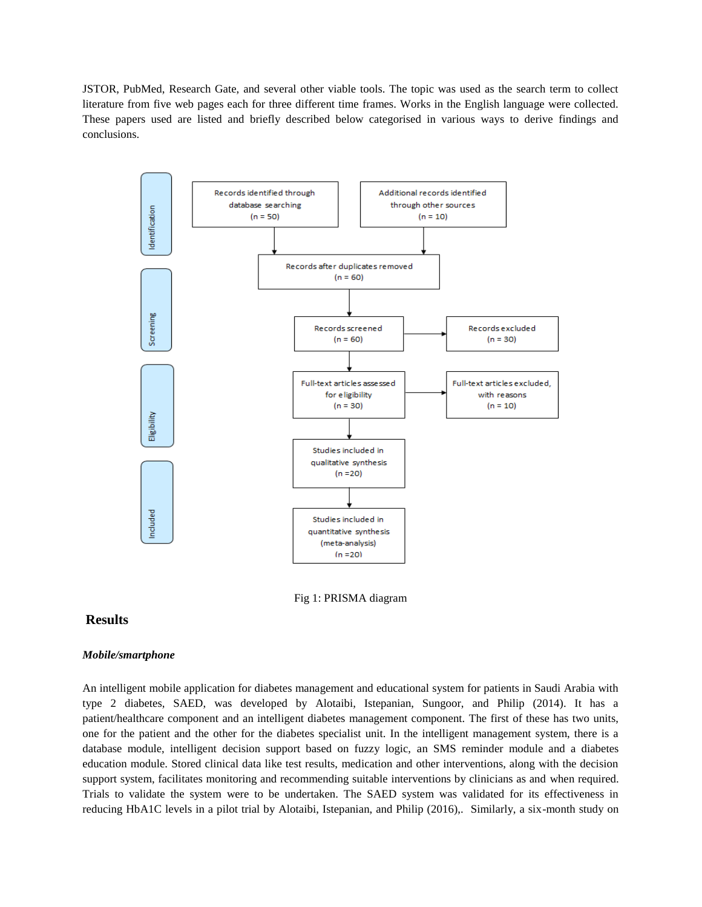JSTOR, PubMed, Research Gate, and several other viable tools. The topic was used as the search term to collect literature from five web pages each for three different time frames. Works in the English language were collected. These papers used are listed and briefly described below categorised in various ways to derive findings and conclusions.



Fig 1: PRISMA diagram

### **Results**

#### *Mobile/smartphone*

An intelligent mobile application for diabetes management and educational system for patients in Saudi Arabia with type 2 diabetes, SAED, was developed by Alotaibi, Istepanian, Sungoor, and Philip (2014). It has a patient/healthcare component and an intelligent diabetes management component. The first of these has two units, one for the patient and the other for the diabetes specialist unit. In the intelligent management system, there is a database module, intelligent decision support based on fuzzy logic, an SMS reminder module and a diabetes education module. Stored clinical data like test results, medication and other interventions, along with the decision support system, facilitates monitoring and recommending suitable interventions by clinicians as and when required. Trials to validate the system were to be undertaken. The SAED system was validated for its effectiveness in reducing HbA1C levels in a pilot trial by Alotaibi, Istepanian, and Philip (2016),. Similarly, a six-month study on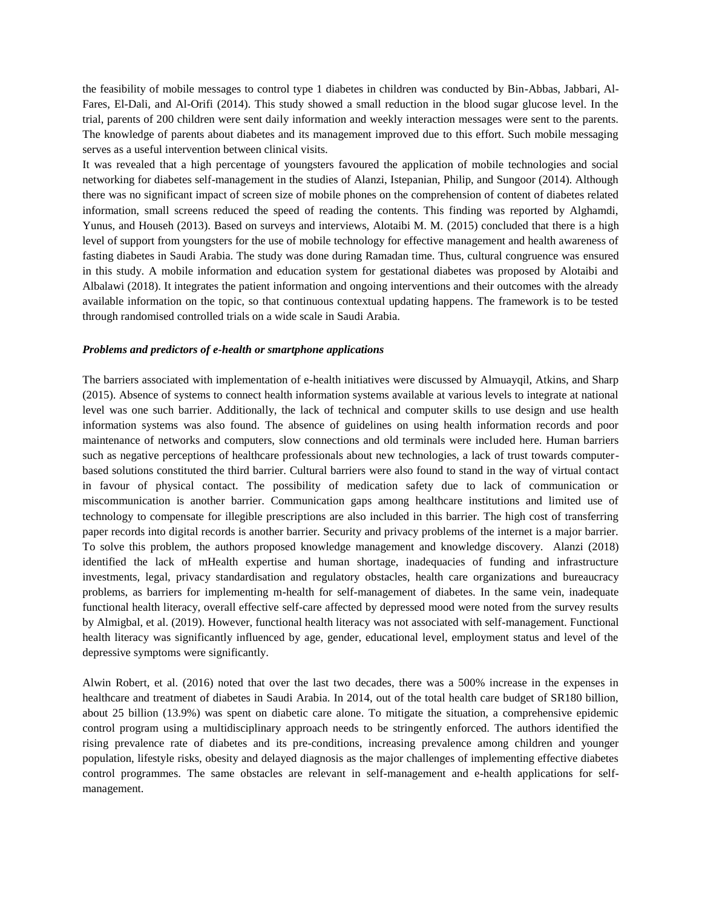the feasibility of mobile messages to control type 1 diabetes in children was conducted by Bin-Abbas, Jabbari, Al-Fares, El-Dali, and Al-Orifi (2014). This study showed a small reduction in the blood sugar glucose level. In the trial, parents of 200 children were sent daily information and weekly interaction messages were sent to the parents. The knowledge of parents about diabetes and its management improved due to this effort. Such mobile messaging serves as a useful intervention between clinical visits.

It was revealed that a high percentage of youngsters favoured the application of mobile technologies and social networking for diabetes self-management in the studies of Alanzi, Istepanian, Philip, and Sungoor (2014). Although there was no significant impact of screen size of mobile phones on the comprehension of content of diabetes related information, small screens reduced the speed of reading the contents. This finding was reported by Alghamdi, Yunus, and Househ (2013). Based on surveys and interviews, Alotaibi M. M. (2015) concluded that there is a high level of support from youngsters for the use of mobile technology for effective management and health awareness of fasting diabetes in Saudi Arabia. The study was done during Ramadan time. Thus, cultural congruence was ensured in this study. A mobile information and education system for gestational diabetes was proposed by Alotaibi and Albalawi (2018). It integrates the patient information and ongoing interventions and their outcomes with the already available information on the topic, so that continuous contextual updating happens. The framework is to be tested through randomised controlled trials on a wide scale in Saudi Arabia.

#### *Problems and predictors of e-health or smartphone applications*

The barriers associated with implementation of e-health initiatives were discussed by Almuayqil, Atkins, and Sharp (2015). Absence of systems to connect health information systems available at various levels to integrate at national level was one such barrier. Additionally, the lack of technical and computer skills to use design and use health information systems was also found. The absence of guidelines on using health information records and poor maintenance of networks and computers, slow connections and old terminals were included here. Human barriers such as negative perceptions of healthcare professionals about new technologies, a lack of trust towards computerbased solutions constituted the third barrier. Cultural barriers were also found to stand in the way of virtual contact in favour of physical contact. The possibility of medication safety due to lack of communication or miscommunication is another barrier. Communication gaps among healthcare institutions and limited use of technology to compensate for illegible prescriptions are also included in this barrier. The high cost of transferring paper records into digital records is another barrier. Security and privacy problems of the internet is a major barrier. To solve this problem, the authors proposed knowledge management and knowledge discovery. Alanzi (2018) identified the lack of mHealth expertise and human shortage, inadequacies of funding and infrastructure investments, legal, privacy standardisation and regulatory obstacles, health care organizations and bureaucracy problems, as barriers for implementing m-health for self-management of diabetes. In the same vein, inadequate functional health literacy, overall effective self-care affected by depressed mood were noted from the survey results by Almigbal, et al. (2019). However, functional health literacy was not associated with self-management. Functional health literacy was significantly influenced by age, gender, educational level, employment status and level of the depressive symptoms were significantly.

Alwin Robert, et al. (2016) noted that over the last two decades, there was a 500% increase in the expenses in healthcare and treatment of diabetes in Saudi Arabia. In 2014, out of the total health care budget of SR180 billion, about 25 billion (13.9%) was spent on diabetic care alone. To mitigate the situation, a comprehensive epidemic control program using a multidisciplinary approach needs to be stringently enforced. The authors identified the rising prevalence rate of diabetes and its pre-conditions, increasing prevalence among children and younger population, lifestyle risks, obesity and delayed diagnosis as the major challenges of implementing effective diabetes control programmes. The same obstacles are relevant in self-management and e-health applications for selfmanagement.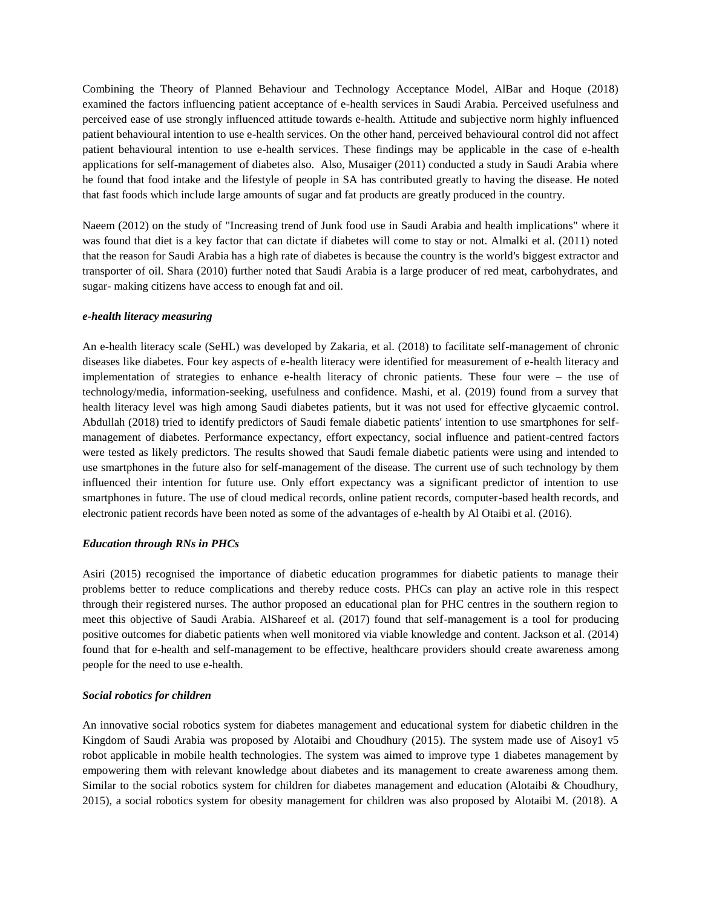Combining the Theory of Planned Behaviour and Technology Acceptance Model, AlBar and Hoque (2018) examined the factors influencing patient acceptance of e-health services in Saudi Arabia. Perceived usefulness and perceived ease of use strongly influenced attitude towards e-health. Attitude and subjective norm highly influenced patient behavioural intention to use e-health services. On the other hand, perceived behavioural control did not affect patient behavioural intention to use e-health services. These findings may be applicable in the case of e-health applications for self-management of diabetes also. Also, Musaiger (2011) conducted a study in Saudi Arabia where he found that food intake and the lifestyle of people in SA has contributed greatly to having the disease. He noted that fast foods which include large amounts of sugar and fat products are greatly produced in the country.

Naeem (2012) on the study of "Increasing trend of Junk food use in Saudi Arabia and health implications" where it was found that diet is a key factor that can dictate if diabetes will come to stay or not. Almalki et al. (2011) noted that the reason for Saudi Arabia has a high rate of diabetes is because the country is the world's biggest extractor and transporter of oil. Shara (2010) further noted that Saudi Arabia is a large producer of red meat, carbohydrates, and sugar- making citizens have access to enough fat and oil.

#### *e-health literacy measuring*

An e-health literacy scale (SeHL) was developed by Zakaria, et al. (2018) to facilitate self-management of chronic diseases like diabetes. Four key aspects of e-health literacy were identified for measurement of e-health literacy and implementation of strategies to enhance e-health literacy of chronic patients. These four were – the use of technology/media, information-seeking, usefulness and confidence. Mashi, et al. (2019) found from a survey that health literacy level was high among Saudi diabetes patients, but it was not used for effective glycaemic control. Abdullah (2018) tried to identify predictors of Saudi female diabetic patients' intention to use smartphones for selfmanagement of diabetes. Performance expectancy, effort expectancy, social influence and patient-centred factors were tested as likely predictors. The results showed that Saudi female diabetic patients were using and intended to use smartphones in the future also for self-management of the disease. The current use of such technology by them influenced their intention for future use. Only effort expectancy was a significant predictor of intention to use smartphones in future. The use of cloud medical records, online patient records, computer-based health records, and electronic patient records have been noted as some of the advantages of e-health by Al Otaibi et al. (2016).

#### *Education through RNs in PHCs*

Asiri (2015) recognised the importance of diabetic education programmes for diabetic patients to manage their problems better to reduce complications and thereby reduce costs. PHCs can play an active role in this respect through their registered nurses. The author proposed an educational plan for PHC centres in the southern region to meet this objective of Saudi Arabia. AlShareef et al. (2017) found that self-management is a tool for producing positive outcomes for diabetic patients when well monitored via viable knowledge and content. Jackson et al. (2014) found that for e-health and self-management to be effective, healthcare providers should create awareness among people for the need to use e-health.

### *Social robotics for children*

An innovative social robotics system for diabetes management and educational system for diabetic children in the Kingdom of Saudi Arabia was proposed by Alotaibi and Choudhury (2015). The system made use of Aisoy1 v5 robot applicable in mobile health technologies. The system was aimed to improve type 1 diabetes management by empowering them with relevant knowledge about diabetes and its management to create awareness among them. Similar to the social robotics system for children for diabetes management and education (Alotaibi & Choudhury, 2015), a social robotics system for obesity management for children was also proposed by Alotaibi M. (2018). A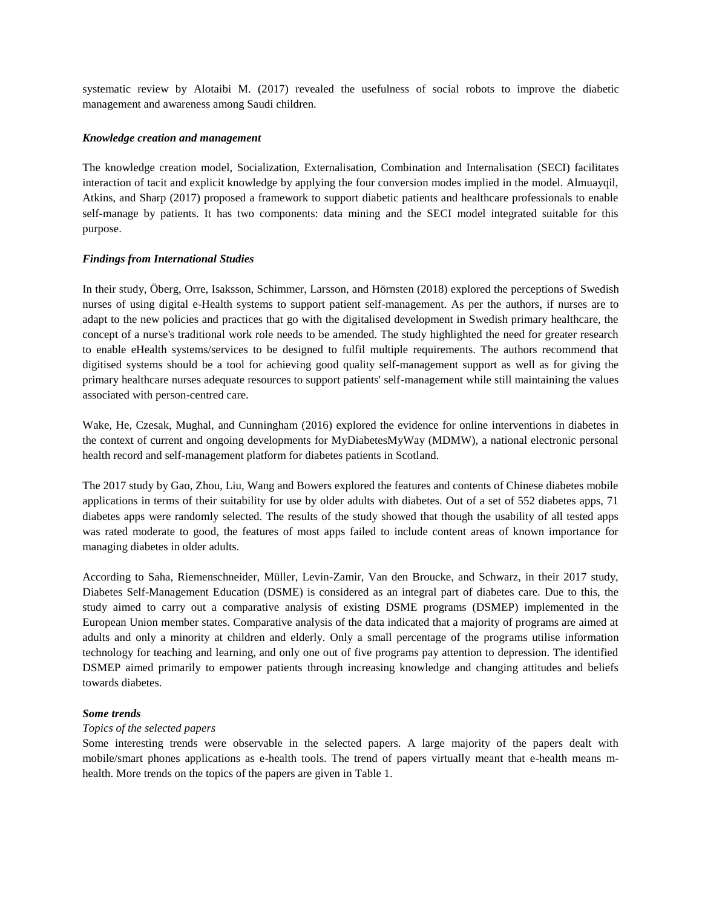systematic review by Alotaibi M. (2017) revealed the usefulness of social robots to improve the diabetic management and awareness among Saudi children.

#### *Knowledge creation and management*

The knowledge creation model, Socialization, Externalisation, Combination and Internalisation (SECI) facilitates interaction of tacit and explicit knowledge by applying the four conversion modes implied in the model. Almuayqil, Atkins, and Sharp (2017) proposed a framework to support diabetic patients and healthcare professionals to enable self-manage by patients. It has two components: data mining and the SECI model integrated suitable for this purpose.

### *Findings from International Studies*

In their study, Öberg, Orre, Isaksson, Schimmer, Larsson, and Hörnsten (2018) explored the perceptions of Swedish nurses of using digital e-Health systems to support patient self-management. As per the authors, if nurses are to adapt to the new policies and practices that go with the digitalised development in Swedish primary healthcare, the concept of a nurse's traditional work role needs to be amended. The study highlighted the need for greater research to enable eHealth systems/services to be designed to fulfil multiple requirements. The authors recommend that digitised systems should be a tool for achieving good quality self-management support as well as for giving the primary healthcare nurses adequate resources to support patients' self-management while still maintaining the values associated with person-centred care.

Wake, He, Czesak, Mughal, and Cunningham (2016) explored the evidence for online interventions in diabetes in the context of current and ongoing developments for MyDiabetesMyWay (MDMW), a national electronic personal health record and self-management platform for diabetes patients in Scotland.

The 2017 study by Gao, Zhou, Liu, Wang and Bowers explored the features and contents of Chinese diabetes mobile applications in terms of their suitability for use by older adults with diabetes. Out of a set of 552 diabetes apps, 71 diabetes apps were randomly selected. The results of the study showed that though the usability of all tested apps was rated moderate to good, the features of most apps failed to include content areas of known importance for managing diabetes in older adults.

According to Saha, Riemenschneider, Müller, Levin-Zamir, Van den Broucke, and Schwarz, in their 2017 study, Diabetes Self-Management Education (DSME) is considered as an integral part of diabetes care. Due to this, the study aimed to carry out a comparative analysis of existing DSME programs (DSMEP) implemented in the European Union member states. Comparative analysis of the data indicated that a majority of programs are aimed at adults and only a minority at children and elderly. Only a small percentage of the programs utilise information technology for teaching and learning, and only one out of five programs pay attention to depression. The identified DSMEP aimed primarily to empower patients through increasing knowledge and changing attitudes and beliefs towards diabetes.

#### *Some trends*

### *Topics of the selected papers*

Some interesting trends were observable in the selected papers. A large majority of the papers dealt with mobile/smart phones applications as e-health tools. The trend of papers virtually meant that e-health means mhealth. More trends on the topics of the papers are given in Table 1.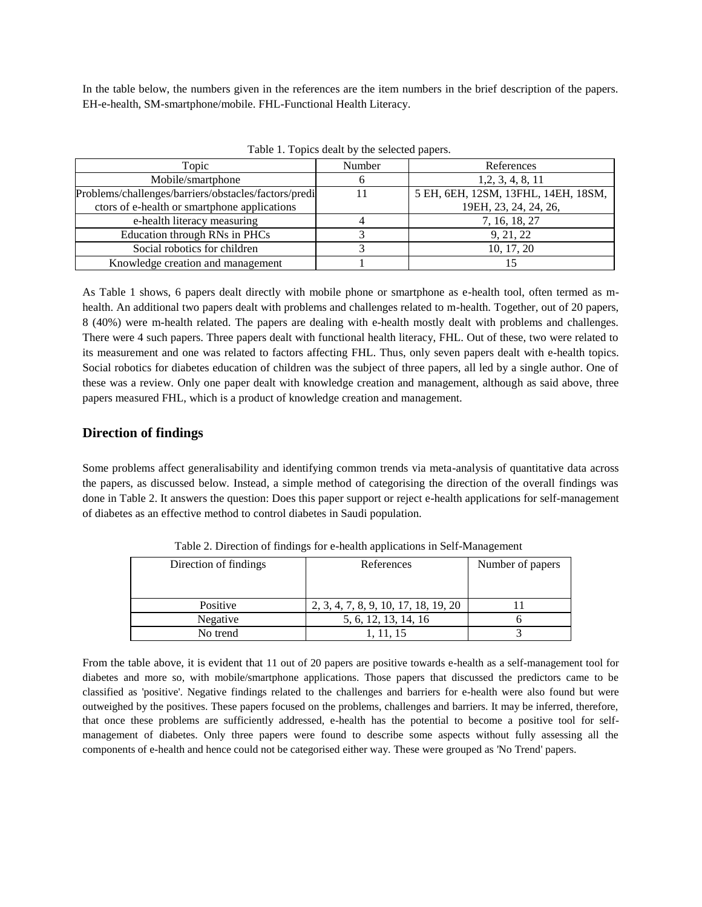In the table below, the numbers given in the references are the item numbers in the brief description of the papers. EH-e-health, SM-smartphone/mobile. FHL-Functional Health Literacy.

| Topic                                                | Number | References                          |
|------------------------------------------------------|--------|-------------------------------------|
| Mobile/smartphone                                    |        | 1, 2, 3, 4, 8, 11                   |
| Problems/challenges/barriers/obstacles/factors/predi |        | 5 EH, 6EH, 12SM, 13FHL, 14EH, 18SM, |
| ctors of e-health or smartphone applications         |        | 19EH, 23, 24, 24, 26,               |
| e-health literacy measuring                          |        | 7, 16, 18, 27                       |
| Education through RNs in PHCs                        |        | 9, 21, 22                           |
| Social robotics for children                         |        | 10, 17, 20                          |
| Knowledge creation and management                    |        |                                     |

Table 1. Topics dealt by the selected papers.

As Table 1 shows, 6 papers dealt directly with mobile phone or smartphone as e-health tool, often termed as mhealth. An additional two papers dealt with problems and challenges related to m-health. Together, out of 20 papers, 8 (40%) were m-health related. The papers are dealing with e-health mostly dealt with problems and challenges. There were 4 such papers. Three papers dealt with functional health literacy, FHL. Out of these, two were related to its measurement and one was related to factors affecting FHL. Thus, only seven papers dealt with e-health topics. Social robotics for diabetes education of children was the subject of three papers, all led by a single author. One of these was a review. Only one paper dealt with knowledge creation and management, although as said above, three papers measured FHL, which is a product of knowledge creation and management.

# **Direction of findings**

Some problems affect generalisability and identifying common trends via meta-analysis of quantitative data across the papers, as discussed below. Instead, a simple method of categorising the direction of the overall findings was done in Table 2. It answers the question: Does this paper support or reject e-health applications for self-management of diabetes as an effective method to control diabetes in Saudi population.

| Direction of findings | References                           | Number of papers |
|-----------------------|--------------------------------------|------------------|
|                       |                                      |                  |
| Positive              | 2, 3, 4, 7, 8, 9, 10, 17, 18, 19, 20 |                  |
| Negative              | 5, 6, 12, 13, 14, 16                 |                  |
| No trend              | 1, 11, 15                            |                  |

Table 2. Direction of findings for e-health applications in Self-Management

From the table above, it is evident that 11 out of 20 papers are positive towards e-health as a self-management tool for diabetes and more so, with mobile/smartphone applications. Those papers that discussed the predictors came to be classified as 'positive'. Negative findings related to the challenges and barriers for e-health were also found but were outweighed by the positives. These papers focused on the problems, challenges and barriers. It may be inferred, therefore, that once these problems are sufficiently addressed, e-health has the potential to become a positive tool for selfmanagement of diabetes. Only three papers were found to describe some aspects without fully assessing all the components of e-health and hence could not be categorised either way. These were grouped as 'No Trend' papers.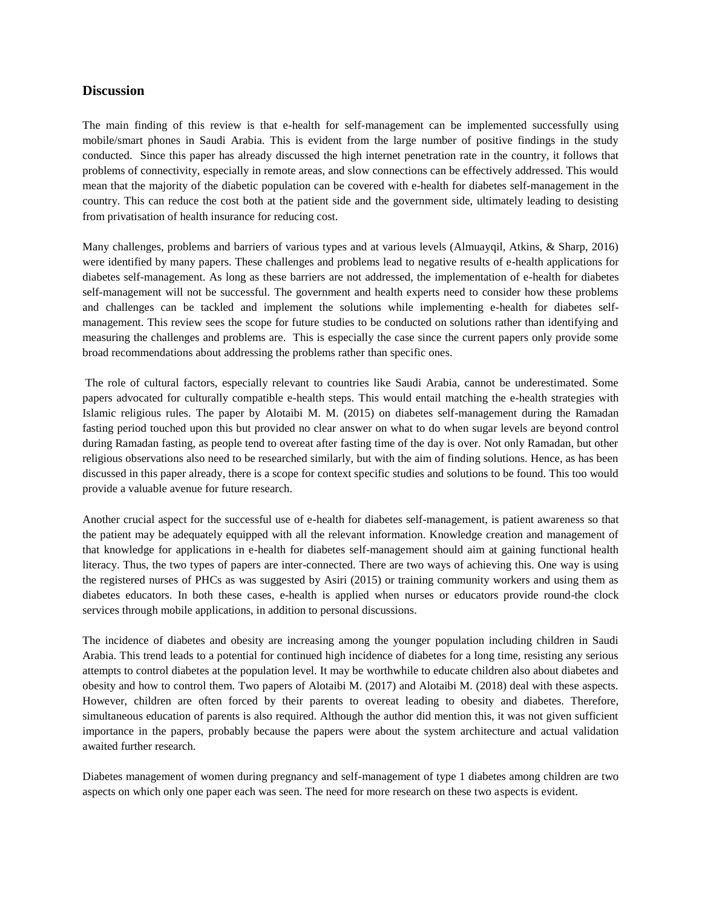# **Discussion**

The main finding of this review is that e-health for self-management can be implemented successfully using mobile/smart phones in Saudi Arabia. This is evident from the large number of positive findings in the study conducted. Since this paper has already discussed the high internet penetration rate in the country, it follows that problems of connectivity, especially in remote areas, and slow connections can be effectively addressed. This would mean that the majority of the diabetic population can be covered with e-health for diabetes self-management in the country. This can reduce the cost both at the patient side and the government side, ultimately leading to desisting from privatisation of health insurance for reducing cost.

Many challenges, problems and barriers of various types and at various levels (Almuayqil, Atkins, & Sharp, 2016) were identified by many papers. These challenges and problems lead to negative results of e-health applications for diabetes self-management. As long as these barriers are not addressed, the implementation of e-health for diabetes self-management will not be successful. The government and health experts need to consider how these problems and challenges can be tackled and implement the solutions while implementing e-health for diabetes selfmanagement. This review sees the scope for future studies to be conducted on solutions rather than identifying and measuring the challenges and problems are. This is especially the case since the current papers only provide some broad recommendations about addressing the problems rather than specific ones.

The role of cultural factors, especially relevant to countries like Saudi Arabia, cannot be underestimated. Some papers advocated for culturally compatible e-health steps. This would entail matching the e-health strategies with Islamic religious rules. The paper by Alotaibi M. M. (2015) on diabetes self-management during the Ramadan fasting period touched upon this but provided no clear answer on what to do when sugar levels are beyond control during Ramadan fasting, as people tend to overeat after fasting time of the day is over. Not only Ramadan, but other religious observations also need to be researched similarly, but with the aim of finding solutions. Hence, as has been discussed in this paper already, there is a scope for context specific studies and solutions to be found. This too would provide a valuable avenue for future research.

Another crucial aspect for the successful use of e-health for diabetes self-management, is patient awareness so that the patient may be adequately equipped with all the relevant information. Knowledge creation and management of that knowledge for applications in e-health for diabetes self-management should aim at gaining functional health literacy. Thus, the two types of papers are inter-connected. There are two ways of achieving this. One way is using the registered nurses of PHCs as was suggested by Asiri (2015) or training community workers and using them as diabetes educators. In both these cases, e-health is applied when nurses or educators provide round-the clock services through mobile applications, in addition to personal discussions.

The incidence of diabetes and obesity are increasing among the younger population including children in Saudi Arabia. This trend leads to a potential for continued high incidence of diabetes for a long time, resisting any serious attempts to control diabetes at the population level. It may be worthwhile to educate children also about diabetes and obesity and how to control them. Two papers of Alotaibi M. (2017) and Alotaibi M. (2018) deal with these aspects. However, children are often forced by their parents to overeat leading to obesity and diabetes. Therefore, simultaneous education of parents is also required. Although the author did mention this, it was not given sufficient importance in the papers, probably because the papers were about the system architecture and actual validation awaited further research.

Diabetes management of women during pregnancy and self-management of type 1 diabetes among children are two aspects on which only one paper each was seen. The need for more research on these two aspects is evident.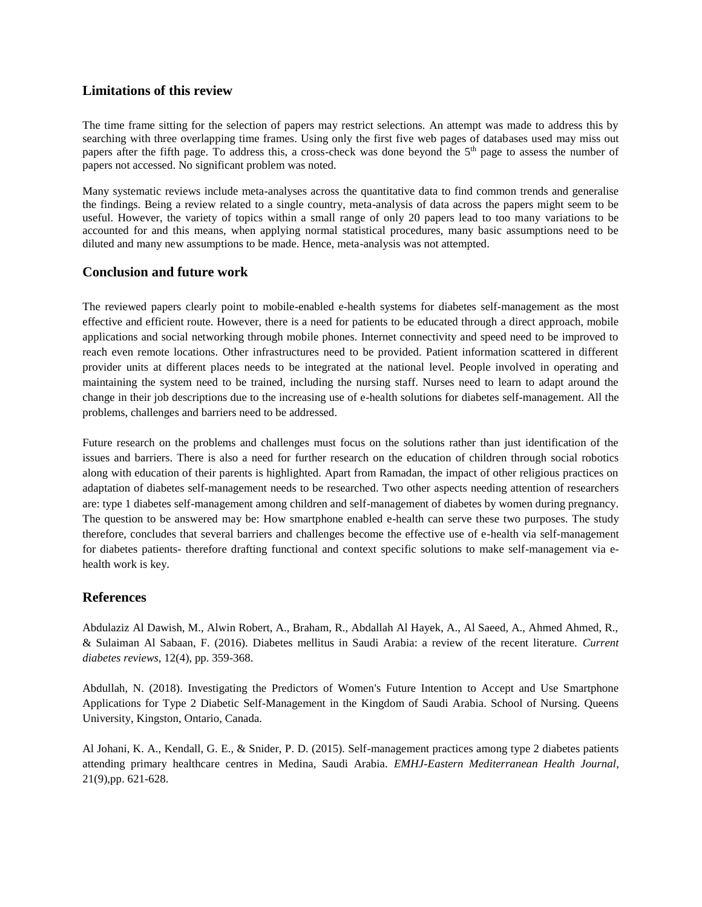# **Limitations of this review**

The time frame sitting for the selection of papers may restrict selections. An attempt was made to address this by searching with three overlapping time frames. Using only the first five web pages of databases used may miss out papers after the fifth page. To address this, a cross-check was done beyond the 5<sup>th</sup> page to assess the number of papers not accessed. No significant problem was noted.

Many systematic reviews include meta-analyses across the quantitative data to find common trends and generalise the findings. Being a review related to a single country, meta-analysis of data across the papers might seem to be useful. However, the variety of topics within a small range of only 20 papers lead to too many variations to be accounted for and this means, when applying normal statistical procedures, many basic assumptions need to be diluted and many new assumptions to be made. Hence, meta-analysis was not attempted.

# **Conclusion and future work**

The reviewed papers clearly point to mobile-enabled e-health systems for diabetes self-management as the most effective and efficient route. However, there is a need for patients to be educated through a direct approach, mobile applications and social networking through mobile phones. Internet connectivity and speed need to be improved to reach even remote locations. Other infrastructures need to be provided. Patient information scattered in different provider units at different places needs to be integrated at the national level. People involved in operating and maintaining the system need to be trained, including the nursing staff. Nurses need to learn to adapt around the change in their job descriptions due to the increasing use of e-health solutions for diabetes self-management. All the problems, challenges and barriers need to be addressed.

Future research on the problems and challenges must focus on the solutions rather than just identification of the issues and barriers. There is also a need for further research on the education of children through social robotics along with education of their parents is highlighted. Apart from Ramadan, the impact of other religious practices on adaptation of diabetes self-management needs to be researched. Two other aspects needing attention of researchers are: type 1 diabetes self-management among children and self-management of diabetes by women during pregnancy. The question to be answered may be: How smartphone enabled e-health can serve these two purposes. The study therefore, concludes that several barriers and challenges become the effective use of e-health via self-management for diabetes patients- therefore drafting functional and context specific solutions to make self-management via ehealth work is key.

# **References**

Abdulaziz Al Dawish, M., Alwin Robert, A., Braham, R., Abdallah Al Hayek, A., Al Saeed, A., Ahmed Ahmed, R., & Sulaiman Al Sabaan, F. (2016). Diabetes mellitus in Saudi Arabia: a review of the recent literature. *Current diabetes reviews*, 12(4), pp. 359-368.

Abdullah, N. (2018). Investigating the Predictors of Women's Future Intention to Accept and Use Smartphone Applications for Type 2 Diabetic Self-Management in the Kingdom of Saudi Arabia. School of Nursing. Queens University, Kingston, Ontario, Canada.

Al Johani, K. A., Kendall, G. E., & Snider, P. D. (2015). Self-management practices among type 2 diabetes patients attending primary healthcare centres in Medina, Saudi Arabia. *EMHJ-Eastern Mediterranean Health Journal*, 21(9),pp. 621-628.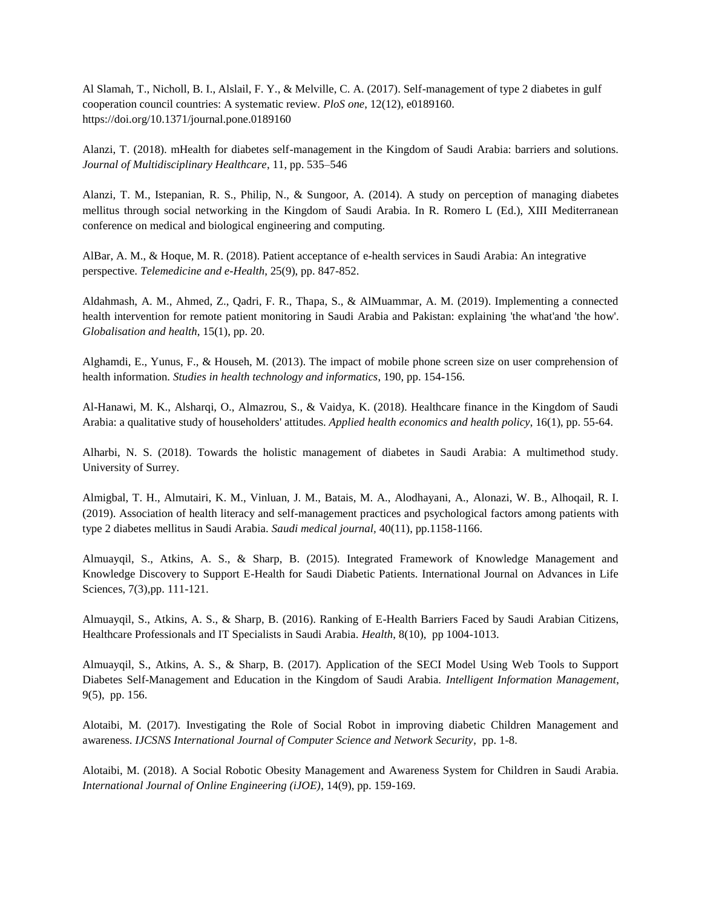Al Slamah, T., Nicholl, B. I., Alslail, F. Y., & Melville, C. A. (2017). Self-management of type 2 diabetes in gulf cooperation council countries: A systematic review. *PloS one*, 12(12), e0189160. https://doi.org/10.1371/journal.pone.0189160

Alanzi, T. (2018). mHealth for diabetes self-management in the Kingdom of Saudi Arabia: barriers and solutions. *Journal of Multidisciplinary Healthcare*, 11, pp. 535–546

Alanzi, T. M., Istepanian, R. S., Philip, N., & Sungoor, A. (2014). A study on perception of managing diabetes mellitus through social networking in the Kingdom of Saudi Arabia. In R. Romero L (Ed.), XIII Mediterranean conference on medical and biological engineering and computing.

AlBar, A. M., & Hoque, M. R. (2018). Patient acceptance of e-health services in Saudi Arabia: An integrative perspective. *Telemedicine and e-Health*, 25(9), pp. 847-852.

Aldahmash, A. M., Ahmed, Z., Qadri, F. R., Thapa, S., & AlMuammar, A. M. (2019). Implementing a connected health intervention for remote patient monitoring in Saudi Arabia and Pakistan: explaining 'the what'and 'the how'. *Globalisation and health*, 15(1), pp. 20.

Alghamdi, E., Yunus, F., & Househ, M. (2013). The impact of mobile phone screen size on user comprehension of health information. *Studies in health technology and informatics*, 190, pp. 154-156.

Al-Hanawi, M. K., Alsharqi, O., Almazrou, S., & Vaidya, K. (2018). Healthcare finance in the Kingdom of Saudi Arabia: a qualitative study of householders' attitudes. *Applied health economics and health policy*, 16(1), pp. 55-64.

Alharbi, N. S. (2018). Towards the holistic management of diabetes in Saudi Arabia: A multimethod study. University of Surrey.

Almigbal, T. H., Almutairi, K. M., Vinluan, J. M., Batais, M. A., Alodhayani, A., Alonazi, W. B., Alhoqail, R. I. (2019). Association of health literacy and self-management practices and psychological factors among patients with type 2 diabetes mellitus in Saudi Arabia. *Saudi medical journal,* 40(11), pp.1158-1166.

Almuayqil, S., Atkins, A. S., & Sharp, B. (2015). Integrated Framework of Knowledge Management and Knowledge Discovery to Support E-Health for Saudi Diabetic Patients. International Journal on Advances in Life Sciences, 7(3),pp. 111-121.

Almuayqil, S., Atkins, A. S., & Sharp, B. (2016). Ranking of E-Health Barriers Faced by Saudi Arabian Citizens, Healthcare Professionals and IT Specialists in Saudi Arabia. *Health*, 8(10), pp 1004-1013.

Almuayqil, S., Atkins, A. S., & Sharp, B. (2017). Application of the SECI Model Using Web Tools to Support Diabetes Self-Management and Education in the Kingdom of Saudi Arabia. *Intelligent Information Management*, 9(5), pp. 156.

Alotaibi, M. (2017). Investigating the Role of Social Robot in improving diabetic Children Management and awareness. *IJCSNS International Journal of Computer Science and Network Security*, pp. 1-8.

Alotaibi, M. (2018). A Social Robotic Obesity Management and Awareness System for Children in Saudi Arabia. *International Journal of Online Engineering (iJOE)*, 14(9), pp. 159-169.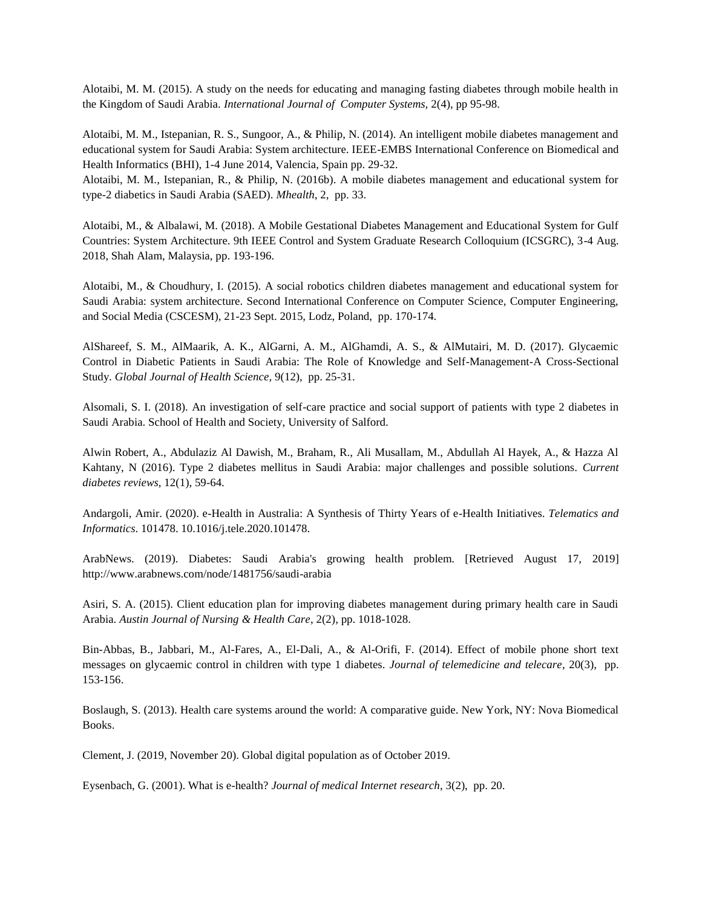Alotaibi, M. M. (2015). A study on the needs for educating and managing fasting diabetes through mobile health in the Kingdom of Saudi Arabia. *International Journal of Computer Systems,* 2(4), pp 95-98.

Alotaibi, M. M., Istepanian, R. S., Sungoor, A., & Philip, N. (2014). An intelligent mobile diabetes management and educational system for Saudi Arabia: System architecture. IEEE-EMBS International Conference on Biomedical and Health Informatics (BHI), 1-4 June 2014, Valencia, Spain pp. 29-32.

Alotaibi, M. M., Istepanian, R., & Philip, N. (2016b). A mobile diabetes management and educational system for type-2 diabetics in Saudi Arabia (SAED). *Mhealth*, 2, pp. 33.

Alotaibi, M., & Albalawi, M. (2018). A Mobile Gestational Diabetes Management and Educational System for Gulf Countries: System Architecture. 9th IEEE Control and System Graduate Research Colloquium (ICSGRC), 3-4 Aug. 2018, Shah Alam, Malaysia, pp. 193-196.

Alotaibi, M., & Choudhury, I. (2015). A social robotics children diabetes management and educational system for Saudi Arabia: system architecture. Second International Conference on Computer Science, Computer Engineering, and Social Media (CSCESM), 21-23 Sept. 2015, Lodz, Poland, pp. 170-174.

AlShareef, S. M., AlMaarik, A. K., AlGarni, A. M., AlGhamdi, A. S., & AlMutairi, M. D. (2017). Glycaemic Control in Diabetic Patients in Saudi Arabia: The Role of Knowledge and Self-Management-A Cross-Sectional Study. *Global Journal of Health Science,* 9(12), pp. 25-31.

Alsomali, S. I. (2018). An investigation of self-care practice and social support of patients with type 2 diabetes in Saudi Arabia. School of Health and Society, University of Salford.

Alwin Robert, A., Abdulaziz Al Dawish, M., Braham, R., Ali Musallam, M., Abdullah Al Hayek, A., & Hazza Al Kahtany, N (2016). Type 2 diabetes mellitus in Saudi Arabia: major challenges and possible solutions. *Current diabetes reviews*, 12(1), 59-64.

Andargoli, Amir. (2020). e-Health in Australia: A Synthesis of Thirty Years of e-Health Initiatives. *Telematics and Informatics*. 101478. 10.1016/j.tele.2020.101478.

ArabNews. (2019). Diabetes: Saudi Arabia's growing health problem. [Retrieved August 17, 2019] http://www.arabnews.com/node/1481756/saudi-arabia

Asiri, S. A. (2015). Client education plan for improving diabetes management during primary health care in Saudi Arabia. *Austin Journal of Nursing & Health Care*, 2(2), pp. 1018-1028.

Bin-Abbas, B., Jabbari, M., Al-Fares, A., El-Dali, A., & Al-Orifi, F. (2014). Effect of mobile phone short text messages on glycaemic control in children with type 1 diabetes. *Journal of telemedicine and telecare*, 20(3), pp. 153-156.

Boslaugh, S. (2013). Health care systems around the world: A comparative guide. New York, NY: Nova Biomedical Books.

Clement, J. (2019, November 20). Global digital population as of October 2019.

Eysenbach, G. (2001). What is e-health? *Journal of medical Internet research*, 3(2), pp. 20.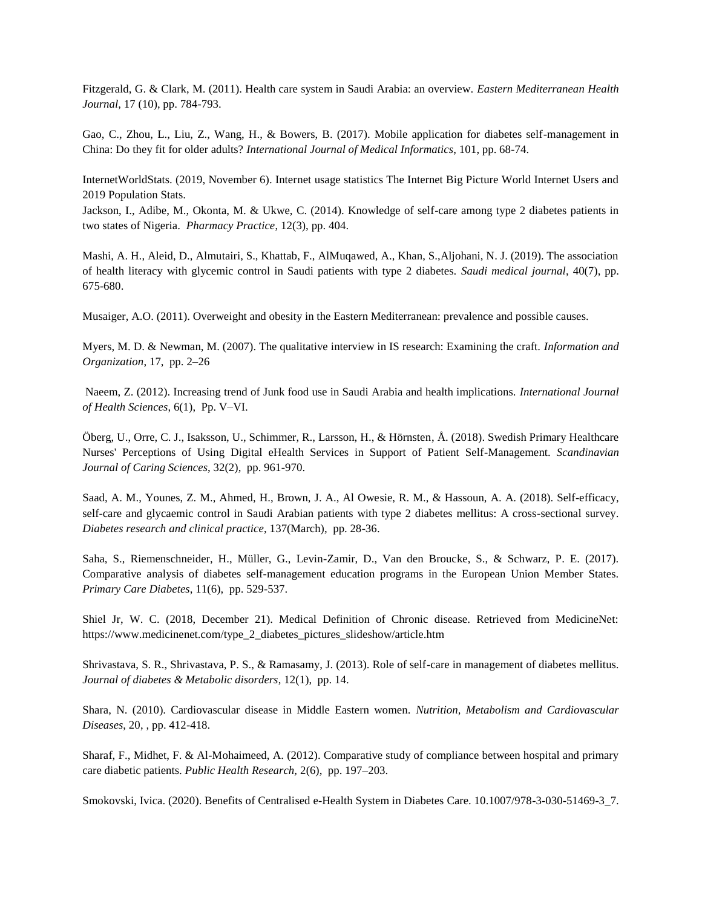Fitzgerald, G. & Clark, M. (2011). Health care system in Saudi Arabia: an overview. *Eastern Mediterranean Health Journal*, 17 (10), pp. 784-793.

Gao, C., Zhou, L., Liu, Z., Wang, H., & Bowers, B. (2017). Mobile application for diabetes self-management in China: Do they fit for older adults? *International Journal of Medical Informatics*, 101, pp. 68-74.

InternetWorldStats. (2019, November 6). Internet usage statistics The Internet Big Picture World Internet Users and 2019 Population Stats.

Jackson, I., Adibe, M., Okonta, M. & Ukwe, C. (2014). Knowledge of self-care among type 2 diabetes patients in two states of Nigeria. *Pharmacy Practice*, 12(3), pp. 404.

Mashi, A. H., Aleid, D., Almutairi, S., Khattab, F., AlMuqawed, A., Khan, S.,Aljohani, N. J. (2019). The association of health literacy with glycemic control in Saudi patients with type 2 diabetes. *Saudi medical journal*, 40(7), pp. 675-680.

Musaiger, A.O. (2011). Overweight and obesity in the Eastern Mediterranean: prevalence and possible causes.

Myers, M. D. & Newman, M. (2007). The qualitative interview in IS research: Examining the craft. *Information and Organization*, 17, pp. 2–26

Naeem, Z. (2012). Increasing trend of Junk food use in Saudi Arabia and health implications. *International Journal of Health Sciences*, 6(1), Pp. V–VI.

Öberg, U., Orre, C. J., Isaksson, U., Schimmer, R., Larsson, H., & Hörnsten, Å. (2018). Swedish Primary Healthcare Nurses' Perceptions of Using Digital eHealth Services in Support of Patient Self-Management. *Scandinavian Journal of Caring Sciences*, 32(2), pp. 961-970.

Saad, A. M., Younes, Z. M., Ahmed, H., Brown, J. A., Al Owesie, R. M., & Hassoun, A. A. (2018). Self-efficacy, self-care and glycaemic control in Saudi Arabian patients with type 2 diabetes mellitus: A cross-sectional survey. *Diabetes research and clinical practice*, 137(March), pp. 28-36.

Saha, S., Riemenschneider, H., Müller, G., Levin-Zamir, D., Van den Broucke, S., & Schwarz, P. E. (2017). Comparative analysis of diabetes self-management education programs in the European Union Member States. *Primary Care Diabetes*, 11(6), pp. 529-537.

Shiel Jr, W. C. (2018, December 21). Medical Definition of Chronic disease. Retrieved from MedicineNet: https://www.medicinenet.com/type\_2\_diabetes\_pictures\_slideshow/article.htm

Shrivastava, S. R., Shrivastava, P. S., & Ramasamy, J. (2013). Role of self-care in management of diabetes mellitus. *Journal of diabetes & Metabolic disorders*, 12(1), pp. 14.

Shara, N. (2010). Cardiovascular disease in Middle Eastern women. *Nutrition, Metabolism and Cardiovascular Diseases*, 20, , pp. 412-418.

Sharaf, F., Midhet, F. & Al-Mohaimeed, A. (2012). Comparative study of compliance between hospital and primary care diabetic patients. *Public Health Research,* 2(6), pp. 197–203.

Smokovski, Ivica. (2020). Benefits of Centralised e-Health System in Diabetes Care. 10.1007/978-3-030-51469-3\_7.